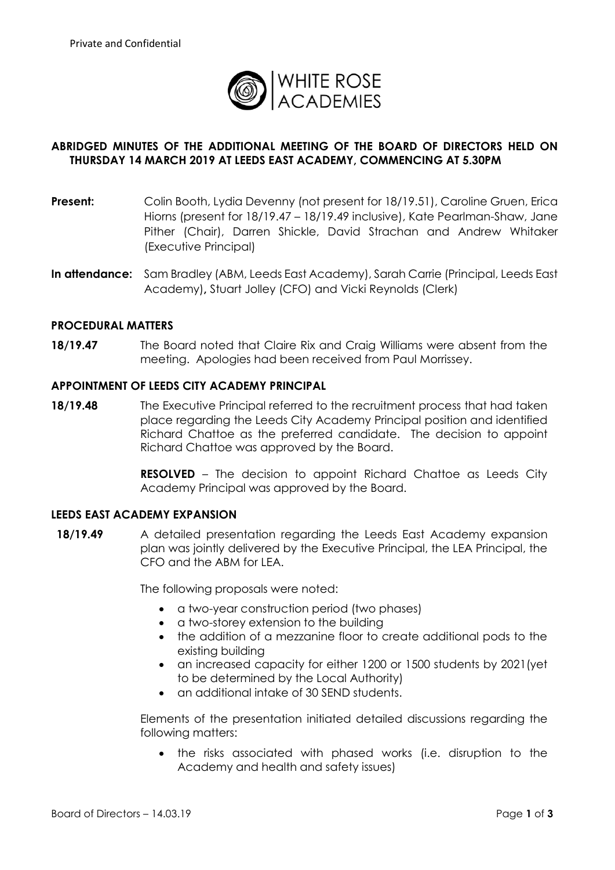

# **ABRIDGED MINUTES OF THE ADDITIONAL MEETING OF THE BOARD OF DIRECTORS HELD ON THURSDAY 14 MARCH 2019 AT LEEDS EAST ACADEMY, COMMENCING AT 5.30PM**

- **Present:** Colin Booth, Lydia Devenny (not present for 18/19.51), Caroline Gruen, Erica Hiorns (present for 18/19.47 – 18/19.49 inclusive), Kate Pearlman-Shaw, Jane Pither (Chair), Darren Shickle, David Strachan and Andrew Whitaker (Executive Principal)
- **In attendance:** Sam Bradley (ABM, Leeds East Academy), Sarah Carrie (Principal, Leeds East Academy)**,** Stuart Jolley (CFO) and Vicki Reynolds (Clerk)

#### **PROCEDURAL MATTERS**

**18/19.47** The Board noted that Claire Rix and Craig Williams were absent from the meeting. Apologies had been received from Paul Morrissey.

#### **APPOINTMENT OF LEEDS CITY ACADEMY PRINCIPAL**

**18/19.48** The Executive Principal referred to the recruitment process that had taken place regarding the Leeds City Academy Principal position and identified Richard Chattoe as the preferred candidate. The decision to appoint Richard Chattoe was approved by the Board.

> **RESOLVED** – The decision to appoint Richard Chattoe as Leeds City Academy Principal was approved by the Board.

#### **LEEDS EAST ACADEMY EXPANSION**

**18/19.49** A detailed presentation regarding the Leeds East Academy expansion plan was jointly delivered by the Executive Principal, the LEA Principal, the CFO and the ABM for LEA.

The following proposals were noted:

- a two-year construction period (two phases)
- a two-storey extension to the building
- the addition of a mezzanine floor to create additional pods to the existing building
- an increased capacity for either 1200 or 1500 students by 2021(yet to be determined by the Local Authority)
- an additional intake of 30 SEND students.

Elements of the presentation initiated detailed discussions regarding the following matters:

 the risks associated with phased works (i.e. disruption to the Academy and health and safety issues)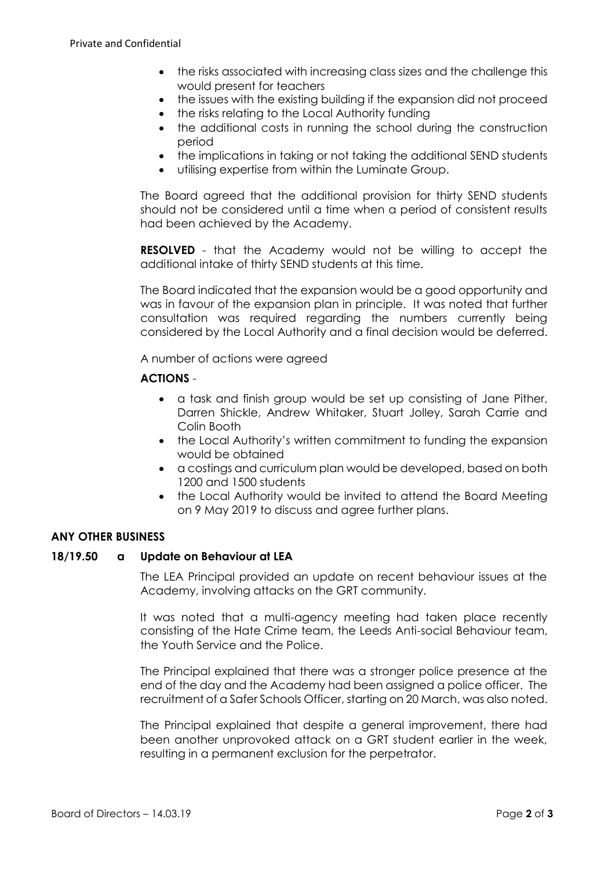- the risks associated with increasing class sizes and the challenge this would present for teachers
- the issues with the existing building if the expansion did not proceed
- the risks relating to the Local Authority funding
- the additional costs in running the school during the construction period
- the implications in taking or not taking the additional SEND students
- utilising expertise from within the Luminate Group.

The Board agreed that the additional provision for thirty SEND students should not be considered until a time when a period of consistent results had been achieved by the Academy.

**RESOLVED** - that the Academy would not be willing to accept the additional intake of thirty SEND students at this time.

The Board indicated that the expansion would be a good opportunity and was in favour of the expansion plan in principle. It was noted that further consultation was required regarding the numbers currently being considered by the Local Authority and a final decision would be deferred.

A number of actions were agreed

## **ACTIONS** -

- a task and finish group would be set up consisting of Jane Pither, Darren Shickle, Andrew Whitaker, Stuart Jolley, Sarah Carrie and Colin Booth
- the Local Authority's written commitment to funding the expansion would be obtained
- a costings and curriculum plan would be developed, based on both 1200 and 1500 students
- the Local Authority would be invited to attend the Board Meeting on 9 May 2019 to discuss and agree further plans.

### **ANY OTHER BUSINESS**

### **18/19.50 a Update on Behaviour at LEA**

The LEA Principal provided an update on recent behaviour issues at the Academy, involving attacks on the GRT community.

It was noted that a multi-agency meeting had taken place recently consisting of the Hate Crime team, the Leeds Anti-social Behaviour team, the Youth Service and the Police.

The Principal explained that there was a stronger police presence at the end of the day and the Academy had been assigned a police officer. The recruitment of a Safer Schools Officer, starting on 20 March, was also noted.

The Principal explained that despite a general improvement, there had been another unprovoked attack on a GRT student earlier in the week, resulting in a permanent exclusion for the perpetrator.